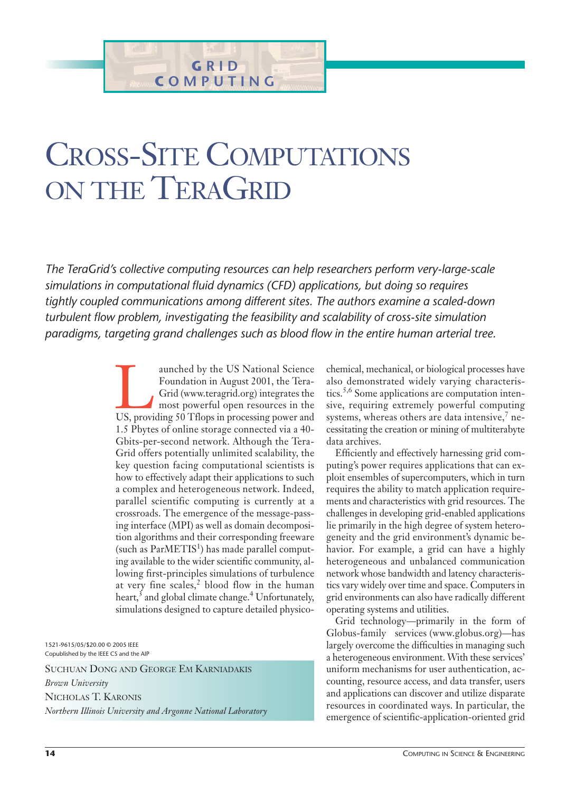# CROSS-SITE COMPUTATIONS ON THE TERAGRID

**G RID C OMPUTING**

*The TeraGrid's collective computing resources can help researchers perform very-large-scale simulations in computational fluid dynamics (CFD) applications, but doing so requires tightly coupled communications among different sites. The authors examine a scaled-down turbulent flow problem, investigating the feasibility and scalability of cross-site simulation paradigms, targeting grand challenges such as blood flow in the entire human arterial tree.*

> Foundation in August 2001, the Tera-<br>Foundation in August 2001, the Tera-<br>Grid (www.teragrid.org) integrates the<br>most powerful open resources in the<br>US, providing 50 Tflops in processing power and Foundation in August 2001, the Tera-Grid (www.teragrid.org) integrates the most powerful open resources in the 1.5 Pbytes of online storage connected via a 40- Gbits-per-second network. Although the Tera-Grid offers potentially unlimited scalability, the key question facing computational scientists is how to effectively adapt their applications to such a complex and heterogeneous network. Indeed, parallel scientific computing is currently at a crossroads. The emergence of the message-passing interface (MPI) as well as domain decomposition algorithms and their corresponding freeware (such as  $ParMETIS^1)$  has made parallel computing available to the wider scientific community, allowing first-principles simulations of turbulence at very fine scales,<sup>2</sup> blood flow in the human heart, $3$  and global climate change.<sup>4</sup> Unfortunately, simulations designed to capture detailed physico-

1521-9615/05/\$20.00 © 2005 IEEE Copublished by the IEEE CS and the AIP

SUCHUAN DONG AND GEORGE EM KARNIADAKIS *Brown University* NICHOLAS T. KARONIS *Northern Illinois University and Argonne National Laboratory* chemical, mechanical, or biological processes have also demonstrated widely varying characteristics.<sup>5,6</sup> Some applications are computation intensive, requiring extremely powerful computing systems, whereas others are data intensive, $7$  necessitating the creation or mining of multiterabyte data archives.

Efficiently and effectively harnessing grid computing's power requires applications that can exploit ensembles of supercomputers, which in turn requires the ability to match application requirements and characteristics with grid resources. The challenges in developing grid-enabled applications lie primarily in the high degree of system heterogeneity and the grid environment's dynamic behavior. For example, a grid can have a highly heterogeneous and unbalanced communication network whose bandwidth and latency characteristics vary widely over time and space. Computers in grid environments can also have radically different operating systems and utilities.

Grid technology—primarily in the form of Globus-family services (www.globus.org)—has largely overcome the difficulties in managing such a heterogeneous environment. With these services' uniform mechanisms for user authentication, accounting, resource access, and data transfer, users and applications can discover and utilize disparate resources in coordinated ways. In particular, the emergence of scientific-application-oriented grid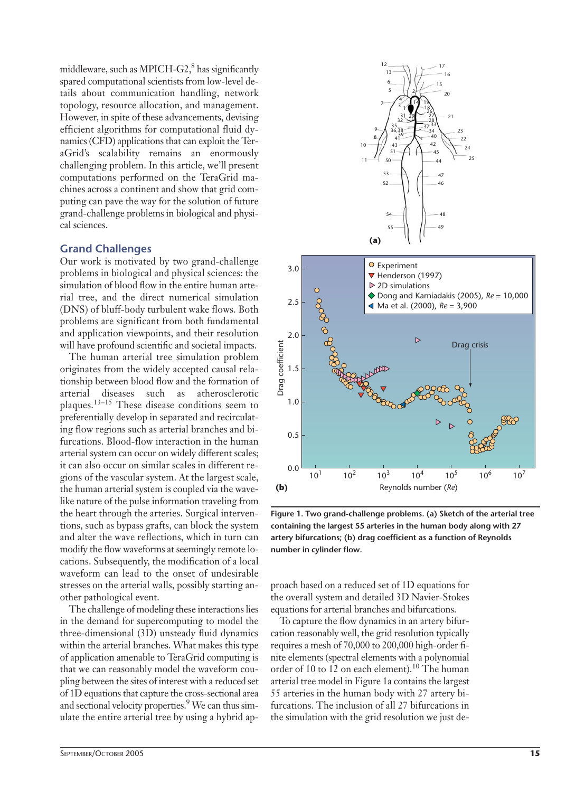middleware, such as MPICH-G2, $\frac{8}{3}$  has significantly spared computational scientists from low-level details about communication handling, network topology, resource allocation, and management. However, in spite of these advancements, devising efficient algorithms for computational fluid dynamics (CFD) applications that can exploit the TeraGrid's scalability remains an enormously challenging problem. In this article, we'll present computations performed on the TeraGrid machines across a continent and show that grid computing can pave the way for the solution of future grand-challenge problems in biological and physical sciences.

## **Grand Challenges**

Our work is motivated by two grand-challenge problems in biological and physical sciences: the simulation of blood flow in the entire human arterial tree, and the direct numerical simulation (DNS) of bluff-body turbulent wake flows. Both problems are significant from both fundamental and application viewpoints, and their resolution will have profound scientific and societal impacts.

The human arterial tree simulation problem originates from the widely accepted causal relationship between blood flow and the formation of arterial diseases such as atherosclerotic plaques.<sup>13–15</sup> These disease conditions seem to preferentially develop in separated and recirculating flow regions such as arterial branches and bifurcations. Blood-flow interaction in the human arterial system can occur on widely different scales; it can also occur on similar scales in different regions of the vascular system. At the largest scale, the human arterial system is coupled via the wavelike nature of the pulse information traveling from the heart through the arteries. Surgical interventions, such as bypass grafts, can block the system and alter the wave reflections, which in turn can modify the flow waveforms at seemingly remote locations. Subsequently, the modification of a local waveform can lead to the onset of undesirable stresses on the arterial walls, possibly starting another pathological event.

The challenge of modeling these interactions lies in the demand for supercomputing to model the three-dimensional (3D) unsteady fluid dynamics within the arterial branches. What makes this type of application amenable to TeraGrid computing is that we can reasonably model the waveform coupling between the sites of interest with a reduced set of 1D equations that capture the cross-sectional area and sectional velocity properties.<sup>9</sup> We can thus simulate the entire arterial tree by using a hybrid ap-



**Figure 1. Two grand-challenge problems. (a) Sketch of the arterial tree containing the largest 55 arteries in the human body along with 27 artery bifurcations; (b) drag coefficient as a function of Reynolds number in cylinder flow.**

proach based on a reduced set of 1D equations for the overall system and detailed 3D Navier-Stokes equations for arterial branches and bifurcations.

To capture the flow dynamics in an artery bifurcation reasonably well, the grid resolution typically requires a mesh of 70,000 to 200,000 high-order finite elements (spectral elements with a polynomial order of 10 to 12 on each element).<sup>10</sup> The human arterial tree model in Figure 1a contains the largest 55 arteries in the human body with 27 artery bifurcations. The inclusion of all 27 bifurcations in the simulation with the grid resolution we just de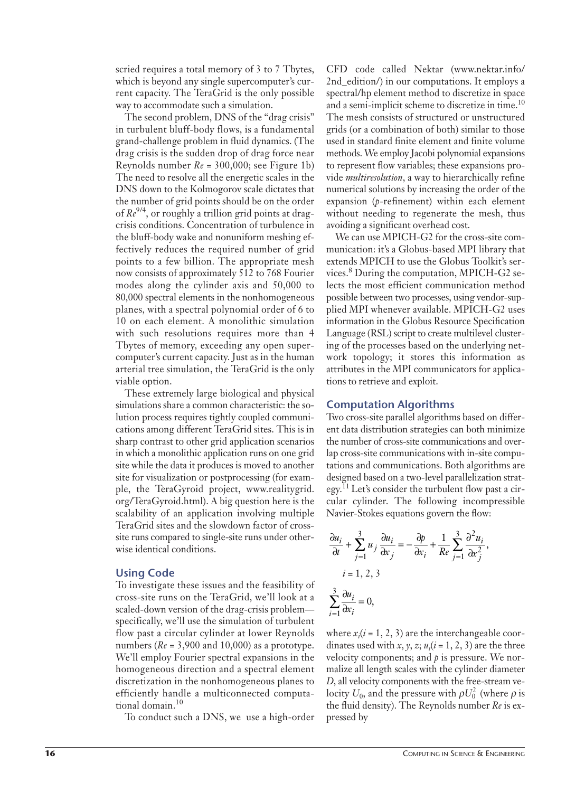scried requires a total memory of 3 to 7 Tbytes, which is beyond any single supercomputer's current capacity. The TeraGrid is the only possible way to accommodate such a simulation.

The second problem, DNS of the "drag crisis" in turbulent bluff-body flows, is a fundamental grand-challenge problem in fluid dynamics. (The drag crisis is the sudden drop of drag force near Reynolds number *Re* = 300,000; see Figure 1b) The need to resolve all the energetic scales in the DNS down to the Kolmogorov scale dictates that the number of grid points should be on the order of *Re*9/4, or roughly a trillion grid points at dragcrisis conditions. Concentration of turbulence in the bluff-body wake and nonuniform meshing effectively reduces the required number of grid points to a few billion. The appropriate mesh now consists of approximately 512 to 768 Fourier modes along the cylinder axis and 50,000 to 80,000 spectral elements in the nonhomogeneous planes, with a spectral polynomial order of 6 to 10 on each element. A monolithic simulation with such resolutions requires more than 4 Tbytes of memory, exceeding any open supercomputer's current capacity. Just as in the human arterial tree simulation, the TeraGrid is the only viable option.

These extremely large biological and physical simulations share a common characteristic: the solution process requires tightly coupled communications among different TeraGrid sites. This is in sharp contrast to other grid application scenarios in which a monolithic application runs on one grid site while the data it produces is moved to another site for visualization or postprocessing (for example, the TeraGyroid project, www.realitygrid. org/TeraGyroid.html). A big question here is the scalability of an application involving multiple TeraGrid sites and the slowdown factor of crosssite runs compared to single-site runs under otherwise identical conditions.

# **Using Code**

To investigate these issues and the feasibility of cross-site runs on the TeraGrid, we'll look at a scaled-down version of the drag-crisis problem specifically, we'll use the simulation of turbulent flow past a circular cylinder at lower Reynolds numbers (*Re* = 3,900 and 10,000) as a prototype. We'll employ Fourier spectral expansions in the homogeneous direction and a spectral element discretization in the nonhomogeneous planes to efficiently handle a multiconnected computational domain.<sup>10</sup>

To conduct such a DNS, we use a high-order

CFD code called Nektar (www.nektar.info/ 2nd\_edition/) in our computations. It employs a spectral/hp element method to discretize in space and a semi-implicit scheme to discretize in time.<sup>10</sup> The mesh consists of structured or unstructured grids (or a combination of both) similar to those used in standard finite element and finite volume methods. We employ Jacobi polynomial expansions to represent flow variables; these expansions provide *multiresolution*, a way to hierarchically refine numerical solutions by increasing the order of the expansion (*p*-refinement) within each element without needing to regenerate the mesh, thus avoiding a significant overhead cost.

We can use MPICH-G2 for the cross-site communication: it's a Globus-based MPI library that extends MPICH to use the Globus Toolkit's services.<sup>8</sup> During the computation, MPICH-G2 selects the most efficient communication method possible between two processes, using vendor-supplied MPI whenever available. MPICH-G2 uses information in the Globus Resource Specification Language (RSL) script to create multilevel clustering of the processes based on the underlying network topology; it stores this information as attributes in the MPI communicators for applications to retrieve and exploit.

# **Computation Algorithms**

Two cross-site parallel algorithms based on different data distribution strategies can both minimize the number of cross-site communications and overlap cross-site communications with in-site computations and communications. Both algorithms are designed based on a two-level parallelization strategy.<sup> $11$ </sup> Let's consider the turbulent flow past a circular cylinder. The following incompressible Navier-Stokes equations govern the flow:

$$
\frac{\partial u_i}{\partial t} + \sum_{j=1}^3 u_j \frac{\partial u_i}{\partial x_j} = -\frac{\partial p}{\partial x_i} + \frac{1}{Re} \sum_{j=1}^3 \frac{\partial^2 u_i}{\partial x_j^2},
$$
  
\n $i = 1, 2, 3$   
\n
$$
\sum_{i=1}^3 \frac{\partial u_i}{\partial x_i} = 0,
$$

where  $x_i(i = 1, 2, 3)$  are the interchangeable coordinates used with  $x, y, z; u_i(i = 1, 2, 3)$  are the three velocity components; and *p* is pressure. We normalize all length scales with the cylinder diameter *D*, all velocity components with the free-stream velocity  $U_0$ , and the pressure with  $\rho U_0^2$  (where  $\rho$  is the fluid density). The Reynolds number *Re* is expressed by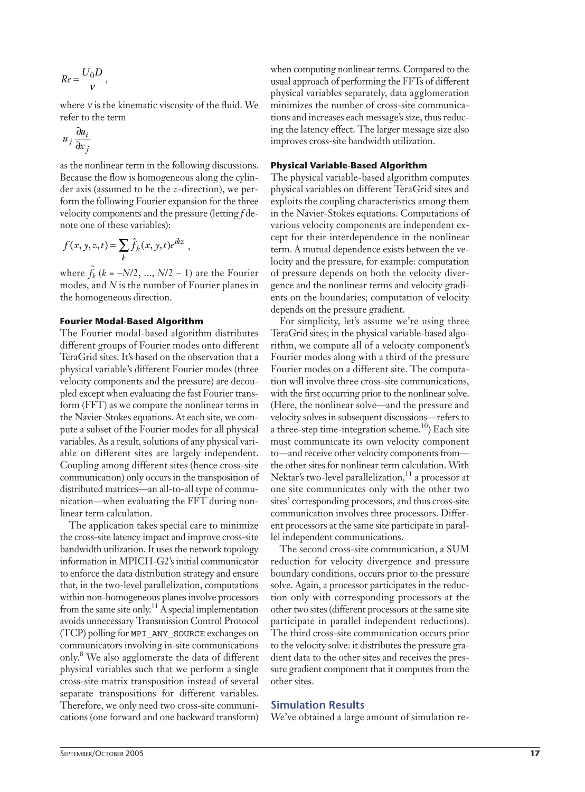$$
Re=\frac{U_0D}{V},
$$

where  $v$  is the kinematic viscosity of the fluid. We refer to the term

$$
u_j \frac{\partial u_i}{\partial x_j}
$$

as the nonlinear term in the following discussions. Because the flow is homogeneous along the cylinder axis (assumed to be the *z*-direction), we perform the following Fourier expansion for the three velocity components and the pressure (letting *f* denote one of these variables):

$$
f(x, y, z, t) = \sum_{k} \hat{f}_k(x, y, t) e^{ikz} ,
$$

where  $\hat{f}_k$  ( $k = -N/2, ..., N/2 - 1$ ) are the Fourier modes, and *N* is the number of Fourier planes in the homogeneous direction.

#### **Fourier Modal-Based Algorithm**

The Fourier modal-based algorithm distributes different groups of Fourier modes onto different TeraGrid sites. It's based on the observation that a physical variable's different Fourier modes (three velocity components and the pressure) are decoupled except when evaluating the fast Fourier transform (FFT) as we compute the nonlinear terms in the Navier-Stokes equations. At each site, we compute a subset of the Fourier modes for all physical variables. As a result, solutions of any physical variable on different sites are largely independent. Coupling among different sites (hence cross-site communication) only occurs in the transposition of distributed matrices—an all-to-all type of communication—when evaluating the FFT during nonlinear term calculation.

The application takes special care to minimize the cross-site latency impact and improve cross-site bandwidth utilization. It uses the network topology information in MPICH-G2's initial communicator to enforce the data distribution strategy and ensure that, in the two-level parallelization, computations within non-homogeneous planes involve processors from the same site only.<sup>11</sup> A special implementation avoids unnecessary Transmission Control Protocol (TCP) polling for MPI\_ANY\_SOURCE exchanges on communicators involving in-site communications only.<sup>8</sup> We also agglomerate the data of different physical variables such that we perform a single cross-site matrix transposition instead of several separate transpositions for different variables. Therefore, we only need two cross-site communications (one forward and one backward transform) when computing nonlinear terms. Compared to the usual approach of performing the FFTs of different physical variables separately, data agglomeration minimizes the number of cross-site communications and increases each message's size, thus reducing the latency effect. The larger message size also improves cross-site bandwidth utilization.

## **Physical Variable-Based Algorithm**

The physical variable-based algorithm computes physical variables on different TeraGrid sites and exploits the coupling characteristics among them in the Navier-Stokes equations. Computations of various velocity components are independent except for their interdependence in the nonlinear term. A mutual dependence exists between the velocity and the pressure, for example: computation of pressure depends on both the velocity divergence and the nonlinear terms and velocity gradients on the boundaries; computation of velocity depends on the pressure gradient.

For simplicity, let's assume we're using three TeraGrid sites; in the physical variable-based algorithm, we compute all of a velocity component's Fourier modes along with a third of the pressure Fourier modes on a different site. The computation will involve three cross-site communications, with the first occurring prior to the nonlinear solve. (Here, the nonlinear solve—and the pressure and velocity solves in subsequent discussions—refers to a three-step time-integration scheme.<sup>10</sup>) Each site must communicate its own velocity component to—and receive other velocity components from the other sites for nonlinear term calculation. With Nektar's two-level parallelization, $^{11}$  a processor at one site communicates only with the other two sites' corresponding processors, and thus cross-site communication involves three processors. Different processors at the same site participate in parallel independent communications.

The second cross-site communication, a SUM reduction for velocity divergence and pressure boundary conditions, occurs prior to the pressure solve. Again, a processor participates in the reduction only with corresponding processors at the other two sites (different processors at the same site participate in parallel independent reductions). The third cross-site communication occurs prior to the velocity solve: it distributes the pressure gradient data to the other sites and receives the pressure gradient component that it computes from the other sites.

# **Simulation Results**

We've obtained a large amount of simulation re-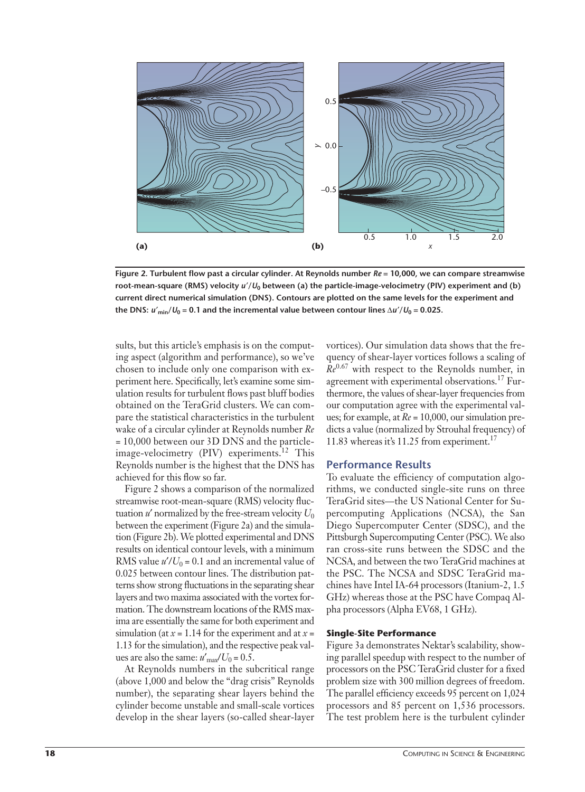

**Figure 2. Turbulent flow past a circular cylinder. At Reynolds number** *Re* **= 10,000, we can compare streamwise root-mean-square (RMS) velocity** *u***/***U***<sup>0</sup> between (a) the particle-image-velocimetry (PIV) experiment and (b) current direct numerical simulation (DNS). Contours are plotted on the same levels for the experiment and** the DNS:  $u'_{min}/U_0$  = 0.1 and the incremental value between contour lines  $\Delta u'/U_0$  = 0.025.

sults, but this article's emphasis is on the computing aspect (algorithm and performance), so we've chosen to include only one comparison with experiment here. Specifically, let's examine some simulation results for turbulent flows past bluff bodies obtained on the TeraGrid clusters. We can compare the statistical characteristics in the turbulent wake of a circular cylinder at Reynolds number *Re* = 10,000 between our 3D DNS and the particleimage-velocimetry (PIV) experiments.<sup>12</sup> This Reynolds number is the highest that the DNS has achieved for this flow so far.

Figure 2 shows a comparison of the normalized streamwise root-mean-square (RMS) velocity fluctuation  $u'$  normalized by the free-stream velocity  $U_0$ between the experiment (Figure 2a) and the simulation (Figure 2b). We plotted experimental and DNS results on identical contour levels, with a minimum RMS value  $u^{\prime}/U_0 = 0.1$  and an incremental value of 0.025 between contour lines. The distribution patterns show strong fluctuations in the separating shear layers and two maxima associated with the vortex formation. The downstream locations of the RMS maxima are essentially the same for both experiment and simulation (at  $x = 1.14$  for the experiment and at  $x =$ 1.13 for the simulation), and the respective peak values are also the same:  $u'_{\text{max}}/U_0 = 0.5$ .

At Reynolds numbers in the subcritical range (above 1,000 and below the "drag crisis" Reynolds number), the separating shear layers behind the cylinder become unstable and small-scale vortices develop in the shear layers (so-called shear-layer vortices). Our simulation data shows that the frequency of shear-layer vortices follows a scaling of  $Re^{0.67}$  with respect to the Reynolds number, in agreement with experimental observations.17 Furthermore, the values of shear-layer frequencies from our computation agree with the experimental values; for example, at *Re* = 10,000, our simulation predicts a value (normalized by Strouhal frequency) of 11.83 whereas it's 11.25 from experiment.<sup>17</sup>

#### **Performance Results**

To evaluate the efficiency of computation algorithms, we conducted single-site runs on three TeraGrid sites—the US National Center for Supercomputing Applications (NCSA), the San Diego Supercomputer Center (SDSC), and the Pittsburgh Supercomputing Center (PSC). We also ran cross-site runs between the SDSC and the NCSA, and between the two TeraGrid machines at the PSC. The NCSA and SDSC TeraGrid machines have Intel IA-64 processors (Itanium-2, 1.5 GHz) whereas those at the PSC have Compaq Alpha processors (Alpha EV68, 1 GHz).

#### **Single-Site Performance**

Figure 3a demonstrates Nektar's scalability, showing parallel speedup with respect to the number of processors on the PSC TeraGrid cluster for a fixed problem size with 300 million degrees of freedom. The parallel efficiency exceeds 95 percent on 1,024 processors and 85 percent on 1,536 processors. The test problem here is the turbulent cylinder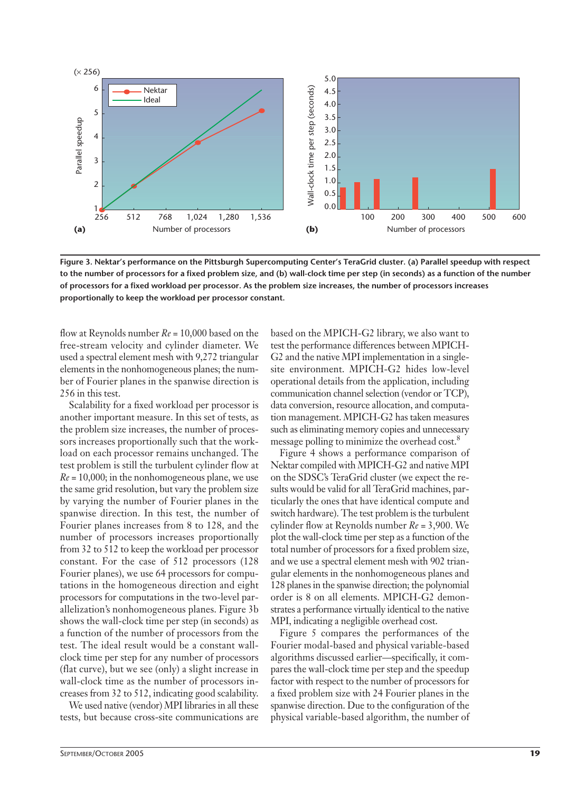

**Figure 3. Nektar's performance on the Pittsburgh Supercomputing Center's TeraGrid cluster. (a) Parallel speedup with respect to the number of processors for a fixed problem size, and (b) wall-clock time per step (in seconds) as a function of the number of processors for a fixed workload per processor. As the problem size increases, the number of processors increases proportionally to keep the workload per processor constant.** 

flow at Reynolds number *Re* = 10,000 based on the free-stream velocity and cylinder diameter. We used a spectral element mesh with 9,272 triangular elements in the nonhomogeneous planes; the number of Fourier planes in the spanwise direction is 256 in this test.

Scalability for a fixed workload per processor is another important measure. In this set of tests, as the problem size increases, the number of processors increases proportionally such that the workload on each processor remains unchanged. The test problem is still the turbulent cylinder flow at *Re* = 10,000; in the nonhomogeneous plane, we use the same grid resolution, but vary the problem size by varying the number of Fourier planes in the spanwise direction. In this test, the number of Fourier planes increases from 8 to 128, and the number of processors increases proportionally from 32 to 512 to keep the workload per processor constant. For the case of 512 processors (128 Fourier planes), we use 64 processors for computations in the homogeneous direction and eight processors for computations in the two-level parallelization's nonhomogeneous planes. Figure 3b shows the wall-clock time per step (in seconds) as a function of the number of processors from the test. The ideal result would be a constant wallclock time per step for any number of processors (flat curve), but we see (only) a slight increase in wall-clock time as the number of processors increases from 32 to 512, indicating good scalability.

We used native (vendor) MPI libraries in all these tests, but because cross-site communications are

based on the MPICH-G2 library, we also want to test the performance differences between MPICH-G2 and the native MPI implementation in a singlesite environment. MPICH-G2 hides low-level operational details from the application, including communication channel selection (vendor or TCP), data conversion, resource allocation, and computation management. MPICH-G2 has taken measures such as eliminating memory copies and unnecessary message polling to minimize the overhead cost.<sup>8</sup>

Figure 4 shows a performance comparison of Nektar compiled with MPICH-G2 and native MPI on the SDSC's TeraGrid cluster (we expect the results would be valid for all TeraGrid machines, particularly the ones that have identical compute and switch hardware). The test problem is the turbulent cylinder flow at Reynolds number *Re* = 3,900. We plot the wall-clock time per step as a function of the total number of processors for a fixed problem size, and we use a spectral element mesh with 902 triangular elements in the nonhomogeneous planes and 128 planes in the spanwise direction; the polynomial order is 8 on all elements. MPICH-G2 demonstrates a performance virtually identical to the native MPI, indicating a negligible overhead cost.

Figure 5 compares the performances of the Fourier modal-based and physical variable-based algorithms discussed earlier—specifically, it compares the wall-clock time per step and the speedup factor with respect to the number of processors for a fixed problem size with 24 Fourier planes in the spanwise direction. Due to the configuration of the physical variable-based algorithm, the number of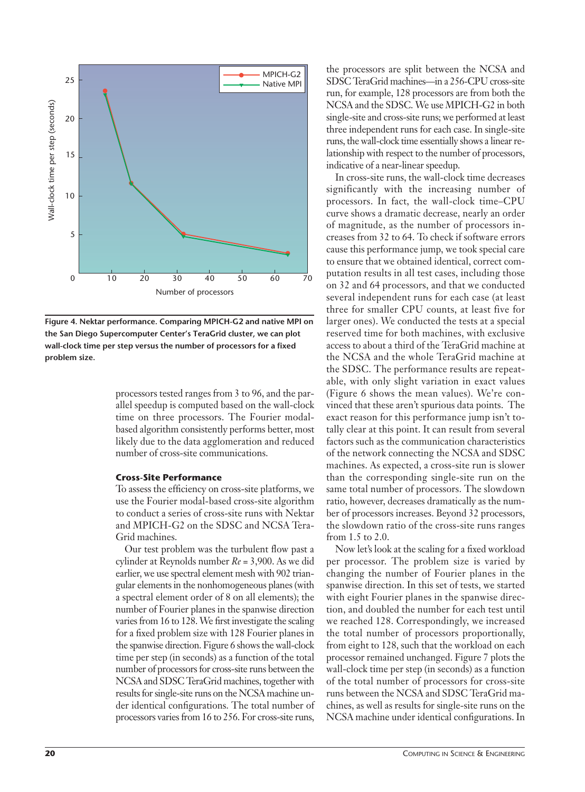

**Figure 4. Nektar performance. Comparing MPICH-G2 and native MPI on the San Diego Supercomputer Center's TeraGrid cluster, we can plot wall-clock time per step versus the number of processors for a fixed problem size.**

processors tested ranges from 3 to 96, and the parallel speedup is computed based on the wall-clock time on three processors. The Fourier modalbased algorithm consistently performs better, most likely due to the data agglomeration and reduced number of cross-site communications.

#### **Cross-Site Performance**

To assess the efficiency on cross-site platforms, we use the Fourier modal-based cross-site algorithm to conduct a series of cross-site runs with Nektar and MPICH-G2 on the SDSC and NCSA Tera-Grid machines.

Our test problem was the turbulent flow past a cylinder at Reynolds number *Re* = 3,900. As we did earlier, we use spectral element mesh with 902 triangular elements in the nonhomogeneous planes (with a spectral element order of 8 on all elements); the number of Fourier planes in the spanwise direction varies from 16 to 128. We first investigate the scaling for a fixed problem size with 128 Fourier planes in the spanwise direction. Figure 6 shows the wall-clock time per step (in seconds) as a function of the total number of processors for cross-site runs between the NCSA and SDSC TeraGrid machines, together with results for single-site runs on the NCSA machine under identical configurations. The total number of processors varies from 16 to 256. For cross-site runs, the processors are split between the NCSA and SDSC TeraGrid machines—in a 256-CPU cross-site run, for example, 128 processors are from both the NCSA and the SDSC. We use MPICH-G2 in both single-site and cross-site runs; we performed at least three independent runs for each case. In single-site runs, the wall-clock time essentially shows a linear relationship with respect to the number of processors, indicative of a near-linear speedup.

In cross-site runs, the wall-clock time decreases significantly with the increasing number of processors. In fact, the wall-clock time–CPU curve shows a dramatic decrease, nearly an order of magnitude, as the number of processors increases from 32 to 64. To check if software errors cause this performance jump, we took special care to ensure that we obtained identical, correct computation results in all test cases, including those on 32 and 64 processors, and that we conducted several independent runs for each case (at least three for smaller CPU counts, at least five for larger ones). We conducted the tests at a special reserved time for both machines, with exclusive access to about a third of the TeraGrid machine at the NCSA and the whole TeraGrid machine at the SDSC. The performance results are repeatable, with only slight variation in exact values (Figure 6 shows the mean values). We're convinced that these aren't spurious data points. The exact reason for this performance jump isn't totally clear at this point. It can result from several factors such as the communication characteristics of the network connecting the NCSA and SDSC machines. As expected, a cross-site run is slower than the corresponding single-site run on the same total number of processors. The slowdown ratio, however, decreases dramatically as the number of processors increases. Beyond 32 processors, the slowdown ratio of the cross-site runs ranges from 1.5 to 2.0.

Now let's look at the scaling for a fixed workload per processor. The problem size is varied by changing the number of Fourier planes in the spanwise direction. In this set of tests, we started with eight Fourier planes in the spanwise direction, and doubled the number for each test until we reached 128. Correspondingly, we increased the total number of processors proportionally, from eight to 128, such that the workload on each processor remained unchanged. Figure 7 plots the wall-clock time per step (in seconds) as a function of the total number of processors for cross-site runs between the NCSA and SDSC TeraGrid machines, as well as results for single-site runs on the NCSA machine under identical configurations. In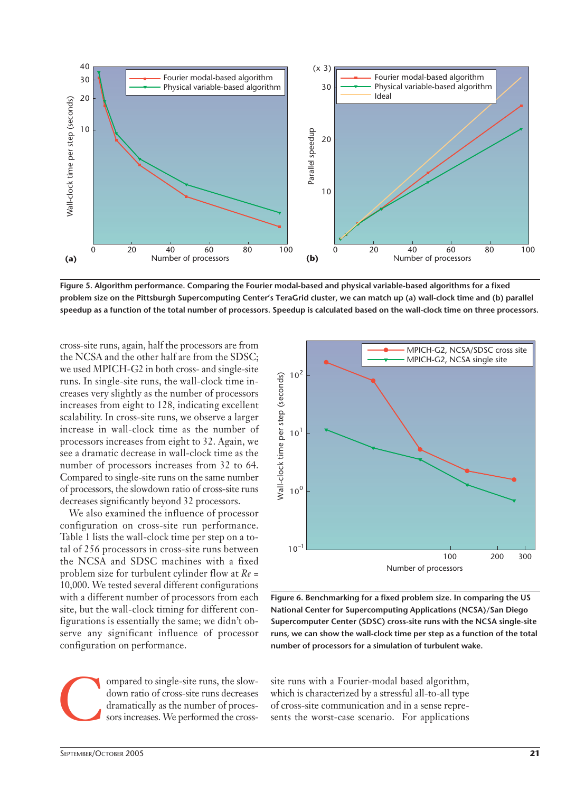

**Figure 5. Algorithm performance. Comparing the Fourier modal-based and physical variable-based algorithms for a fixed problem size on the Pittsburgh Supercomputing Center's TeraGrid cluster, we can match up (a) wall-clock time and (b) parallel speedup as a function of the total number of processors. Speedup is calculated based on the wall-clock time on three processors.**

cross-site runs, again, half the processors are from the NCSA and the other half are from the SDSC; we used MPICH-G2 in both cross- and single-site runs. In single-site runs, the wall-clock time increases very slightly as the number of processors increases from eight to 128, indicating excellent scalability. In cross-site runs, we observe a larger increase in wall-clock time as the number of processors increases from eight to 32. Again, we see a dramatic decrease in wall-clock time as the number of processors increases from 32 to 64. Compared to single-site runs on the same number of processors, the slowdown ratio of cross-site runs decreases significantly beyond 32 processors.

We also examined the influence of processor configuration on cross-site run performance. Table 1 lists the wall-clock time per step on a total of 256 processors in cross-site runs between the NCSA and SDSC machines with a fixed problem size for turbulent cylinder flow at *Re* = 10,000. We tested several different configurations with a different number of processors from each site, but the wall-clock timing for different configurations is essentially the same; we didn't observe any significant influence of processor configuration on performance.

MPICH-G2, NCSA/SDSC cross site MPICH-G2, NCSA single site  $10^2$  $\frac{1}{2}$ <br>  $\frac{1}{2}$ <br>  $\frac{1}{2}$ <br>  $\frac{1}{2}$ <br>  $\frac{1}{2}$ <br>  $\frac{1}{2}$ <br>  $\frac{1}{2}$ <br>  $\frac{1}{2}$ <br>  $\frac{1}{2}$ <br>  $\frac{1}{2}$ <br>  $\frac{1}{2}$ <br>  $\frac{1}{2}$ <br>  $\frac{1}{2}$ <br>  $\frac{1}{2}$ <br>  $\frac{1}{2}$ <br>  $\frac{1}{2}$ <br>  $\frac{1}{2}$ <br>  $\frac{1}{2}$ <br>  $\frac{1}{2}$ <br>  $\frac{1}{2}$ Nall-clock time per step (seconds)  $10<sup>1</sup>$  $10^0$  $10^{-1}$ 100 200 300 Number of processors

**Figure 6. Benchmarking for a fixed problem size. In comparing the US National Center for Supercomputing Applications (NCSA)/San Diego Supercomputer Center (SDSC) cross-site runs with the NCSA single-site runs, we can show the wall-clock time per step as a function of the total number of processors for a simulation of turbulent wake.**

ompared to single-site runs, the slowdown ratio of cross-site runs decreases dramatically as the number of processors increases. We performed the cross-

site runs with a Fourier-modal based algorithm, which is characterized by a stressful all-to-all type of cross-site communication and in a sense represents the worst-case scenario. For applications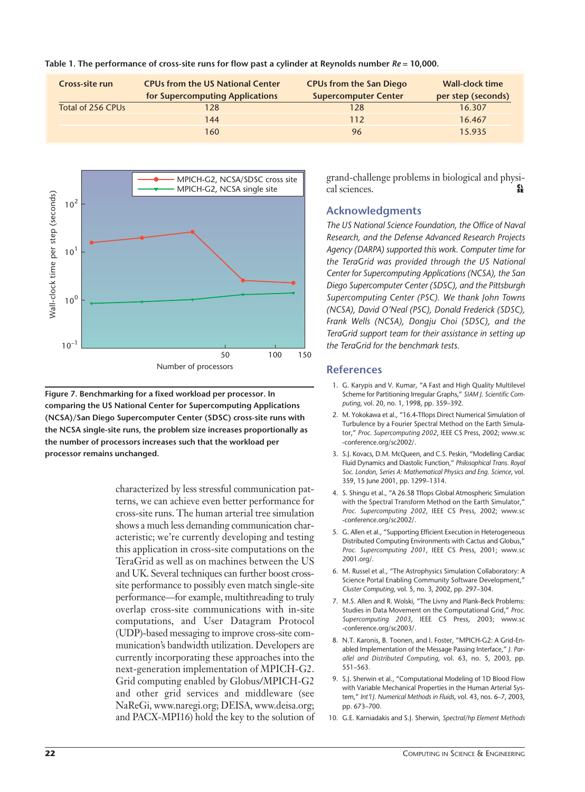#### **Table 1. The performance of cross-site runs for flow past a cylinder at Reynolds number** *Re* **= 10,000.**

| Cross-site run    | <b>CPUs from the US National Center</b> | <b>CPUs from the San Diego</b> | <b>Wall-clock time</b> |
|-------------------|-----------------------------------------|--------------------------------|------------------------|
|                   | for Supercomputing Applications         | <b>Supercomputer Center</b>    | per step (seconds)     |
| Total of 256 CPUs | 128                                     | 128                            | 16.307                 |
|                   | 144                                     | 112                            | 16.467                 |
|                   | 160                                     | 96                             | 15.935                 |



**Figure 7. Benchmarking for a fixed workload per processor. In comparing the US National Center for Supercomputing Applications (NCSA)/San Diego Supercomputer Center (SDSC) cross-site runs with the NCSA single-site runs, the problem size increases proportionally as the number of processors increases such that the workload per processor remains unchanged.**

> characterized by less stressful communication patterns, we can achieve even better performance for cross-site runs. The human arterial tree simulation shows a much less demanding communication characteristic; we're currently developing and testing this application in cross-site computations on the TeraGrid as well as on machines between the US and UK. Several techniques can further boost crosssite performance to possibly even match single-site performance—for example, multithreading to truly overlap cross-site communications with in-site computations, and User Datagram Protocol (UDP)-based messaging to improve cross-site communication's bandwidth utilization. Developers are currently incorporating these approaches into the next-generation implementation of MPICH-G2. Grid computing enabled by Globus/MPICH-G2 and other grid services and middleware (see NaReGi, www.naregi.org; DEISA, www.deisa.org; and PACX-MPI16) hold the key to the solution of

grand-challenge problems in biological and physical sciences. SE.

# **Acknowledgments**

*The US National Science Foundation, the Office of Naval Research, and the Defense Advanced Research Projects Agency (DARPA) supported this work. Computer time for the TeraGrid was provided through the US National Center for Supercomputing Applications (NCSA), the San Diego Supercomputer Center (SDSC), and the Pittsburgh Supercomputing Center (PSC). We thank John Towns (NCSA), David O'Neal (PSC), Donald Frederick (SDSC), Frank Wells (NCSA), Dongju Choi (SDSC), and the TeraGrid support team for their assistance in setting up the TeraGrid for the benchmark tests.* 

# **References**

- 1. G. Karypis and V. Kumar, "A Fast and High Quality Multilevel Scheme for Partitioning Irregular Graphs," *SIAM J. Scientific Computing*, vol. 20, no. 1, 1998, pp. 359–392.
- 2. M. Yokokawa et al., "16.4-Tflops Direct Numerical Simulation of Turbulence by a Fourier Spectral Method on the Earth Simulator," *Proc. Supercomputing 2002*, IEEE CS Press, 2002; www.sc -conference.org/sc2002/.
- 3. S.J. Kovacs, D.M. McQueen, and C.S. Peskin, "Modelling Cardiac Fluid Dynamics and Diastolic Function," *Philosophical Trans. Royal Soc. London, Series A: Mathematical Physics and Eng. Science*, vol. 359, 15 June 2001, pp. 1299–1314.
- 4. S. Shingu et al., "A 26.58 Tflops Global Atmospheric Simulation with the Spectral Transform Method on the Earth Simulator," *Proc. Supercomputing 2002*, IEEE CS Press, 2002; www.sc -conference.org/sc2002/.
- 5. G. Allen et al., "Supporting Efficient Execution in Heterogeneous Distributed Computing Environments with Cactus and Globus," *Proc. Supercomputing 2001*, IEEE CS Press, 2001; www.sc 2001.org/.
- 6. M. Russel et al., "The Astrophysics Simulation Collaboratory: A Science Portal Enabling Community Software Development," *Cluster Computing*, vol. 5, no. 3, 2002, pp. 297–304.
- 7. M.S. Allen and R. Wolski, "The Livny and Plank-Beck Problems: Studies in Data Movement on the Computational Grid," *Proc. Supercomputing 2003*, IEEE CS Press, 2003; www.sc -conference.org/sc2003/.
- 8. N.T. Karonis, B. Toonen, and I. Foster, "MPICH-G2: A Grid-Enabled Implementation of the Message Passing Interface," *J. Parallel and Distributed Computing*, vol. 63, no. 5, 2003, pp. 551–563.
- 9. S.J. Sherwin et al., "Computational Modeling of 1D Blood Flow with Variable Mechanical Properties in the Human Arterial System," *Int'l J. Numerical Methods in Fluids*, vol. 43, nos. 6–7, 2003, pp. 673–700.
- 10. G.E. Karniadakis and S.J. Sherwin, *Spectral/hp Element Methods*